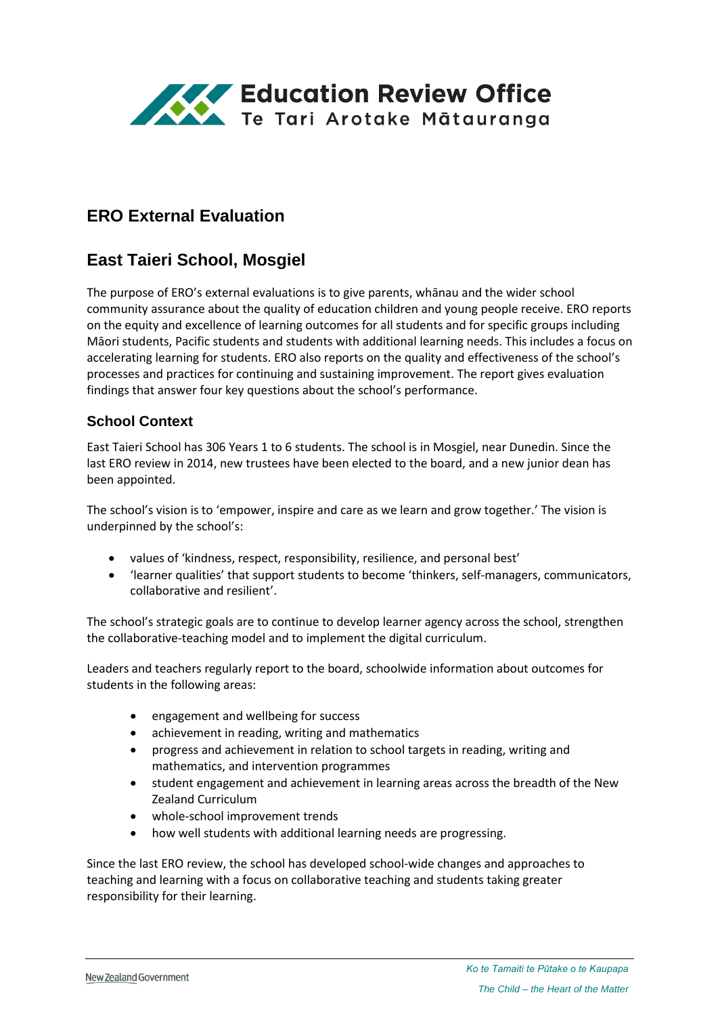

# **ERO External Evaluation**

# **East Taieri School, Mosgiel**

The purpose of ERO's external evaluations is to give parents, whānau and the wider school community assurance about the quality of education children and young people receive. ERO reports on the equity and excellence of learning outcomes for all students and for specific groups including Māori students, Pacific students and students with additional learning needs. This includes a focus on accelerating learning for students. ERO also reports on the quality and effectiveness of the school's processes and practices for continuing and sustaining improvement. The report gives evaluation findings that answer four key questions about the school's performance.

### **School Context**

East Taieri School has 306 Years 1 to 6 students. The school is in Mosgiel, near Dunedin. Since the last ERO review in 2014, new trustees have been elected to the board, and a new junior dean has been appointed.

The school's vision is to 'empower, inspire and care as we learn and grow together.' The vision is underpinned by the school's:

- values of 'kindness, respect, responsibility, resilience, and personal best'
- 'learner qualities' that support students to become 'thinkers, self-managers, communicators, collaborative and resilient'.

The school's strategic goals are to continue to develop learner agency across the school, strengthen the collaborative-teaching model and to implement the digital curriculum.

Leaders and teachers regularly report to the board, schoolwide information about outcomes for students in the following areas:

- engagement and wellbeing for success
- achievement in reading, writing and mathematics
- progress and achievement in relation to school targets in reading, writing and mathematics, and intervention programmes
- student engagement and achievement in learning areas across the breadth of the New Zealand Curriculum
- whole-school improvement trends
- how well students with additional learning needs are progressing.

Since the last ERO review, the school has developed school-wide changes and approaches to teaching and learning with a focus on collaborative teaching and students taking greater responsibility for their learning.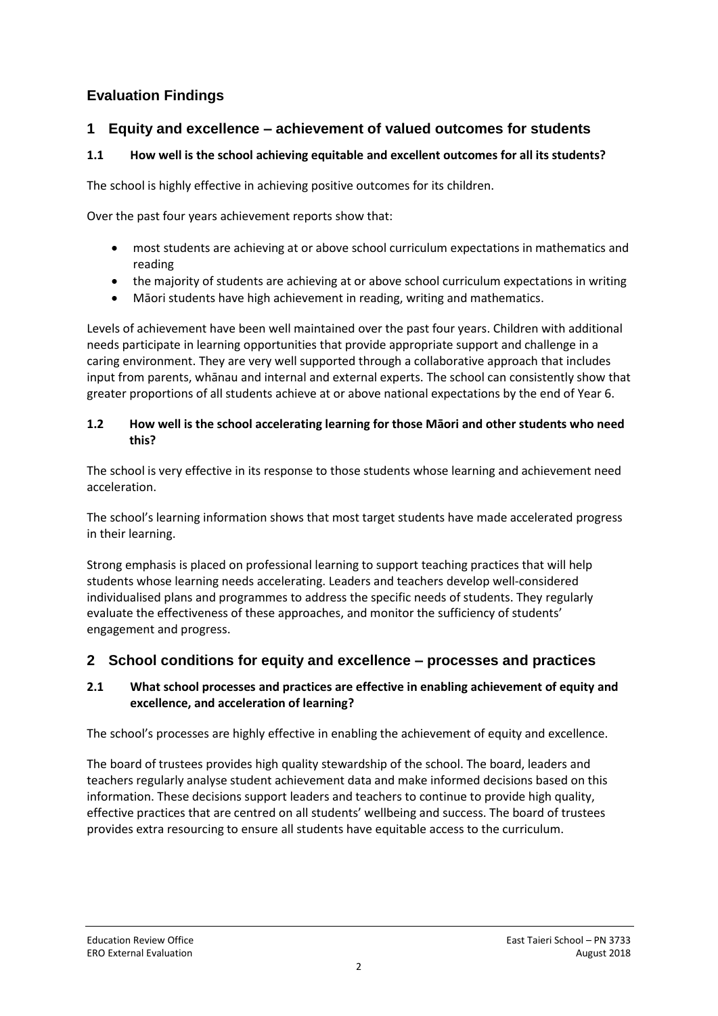## **Evaluation Findings**

## **1 Equity and excellence – achievement of valued outcomes for students**

### **1.1 How well is the school achieving equitable and excellent outcomes for all its students?**

The school is highly effective in achieving positive outcomes for its children.

Over the past four years achievement reports show that:

- most students are achieving at or above school curriculum expectations in mathematics and reading
- the majority of students are achieving at or above school curriculum expectations in writing
- Māori students have high achievement in reading, writing and mathematics.

Levels of achievement have been well maintained over the past four years. Children with additional needs participate in learning opportunities that provide appropriate support and challenge in a caring environment. They are very well supported through a collaborative approach that includes input from parents, whānau and internal and external experts. The school can consistently show that greater proportions of all students achieve at or above national expectations by the end of Year 6.

#### **1.2 How well is the school accelerating learning for those Māori and other students who need this?**

The school is very effective in its response to those students whose learning and achievement need acceleration.

The school's learning information shows that most target students have made accelerated progress in their learning.

Strong emphasis is placed on professional learning to support teaching practices that will help students whose learning needs accelerating. Leaders and teachers develop well-considered individualised plans and programmes to address the specific needs of students. They regularly evaluate the effectiveness of these approaches, and monitor the sufficiency of students' engagement and progress.

## **2 School conditions for equity and excellence – processes and practices**

### **2.1 What school processes and practices are effective in enabling achievement of equity and excellence, and acceleration of learning?**

The school's processes are highly effective in enabling the achievement of equity and excellence.

The board of trustees provides high quality stewardship of the school. The board, leaders and teachers regularly analyse student achievement data and make informed decisions based on this information. These decisions support leaders and teachers to continue to provide high quality, effective practices that are centred on all students' wellbeing and success. The board of trustees provides extra resourcing to ensure all students have equitable access to the curriculum.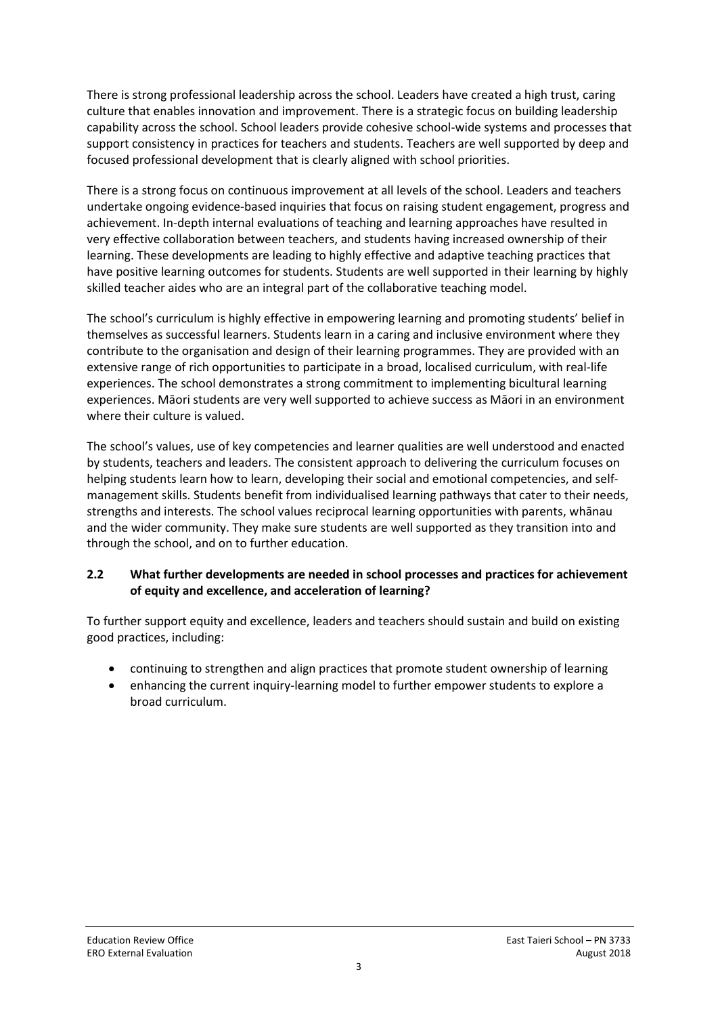There is strong professional leadership across the school. Leaders have created a high trust, caring culture that enables innovation and improvement. There is a strategic focus on building leadership capability across the school. School leaders provide cohesive school-wide systems and processes that support consistency in practices for teachers and students. Teachers are well supported by deep and focused professional development that is clearly aligned with school priorities.

There is a strong focus on continuous improvement at all levels of the school. Leaders and teachers undertake ongoing evidence-based inquiries that focus on raising student engagement, progress and achievement. In-depth internal evaluations of teaching and learning approaches have resulted in very effective collaboration between teachers, and students having increased ownership of their learning. These developments are leading to highly effective and adaptive teaching practices that have positive learning outcomes for students. Students are well supported in their learning by highly skilled teacher aides who are an integral part of the collaborative teaching model.

The school's curriculum is highly effective in empowering learning and promoting students' belief in themselves as successful learners. Students learn in a caring and inclusive environment where they contribute to the organisation and design of their learning programmes. They are provided with an extensive range of rich opportunities to participate in a broad, localised curriculum, with real-life experiences. The school demonstrates a strong commitment to implementing bicultural learning experiences. Māori students are very well supported to achieve success as Māori in an environment where their culture is valued.

The school's values, use of key competencies and learner qualities are well understood and enacted by students, teachers and leaders. The consistent approach to delivering the curriculum focuses on helping students learn how to learn, developing their social and emotional competencies, and selfmanagement skills. Students benefit from individualised learning pathways that cater to their needs, strengths and interests. The school values reciprocal learning opportunities with parents, whānau and the wider community. They make sure students are well supported as they transition into and through the school, and on to further education.

#### **2.2 What further developments are needed in school processes and practices for achievement of equity and excellence, and acceleration of learning?**

To further support equity and excellence, leaders and teachers should sustain and build on existing good practices, including:

- continuing to strengthen and align practices that promote student ownership of learning
- enhancing the current inquiry-learning model to further empower students to explore a broad curriculum.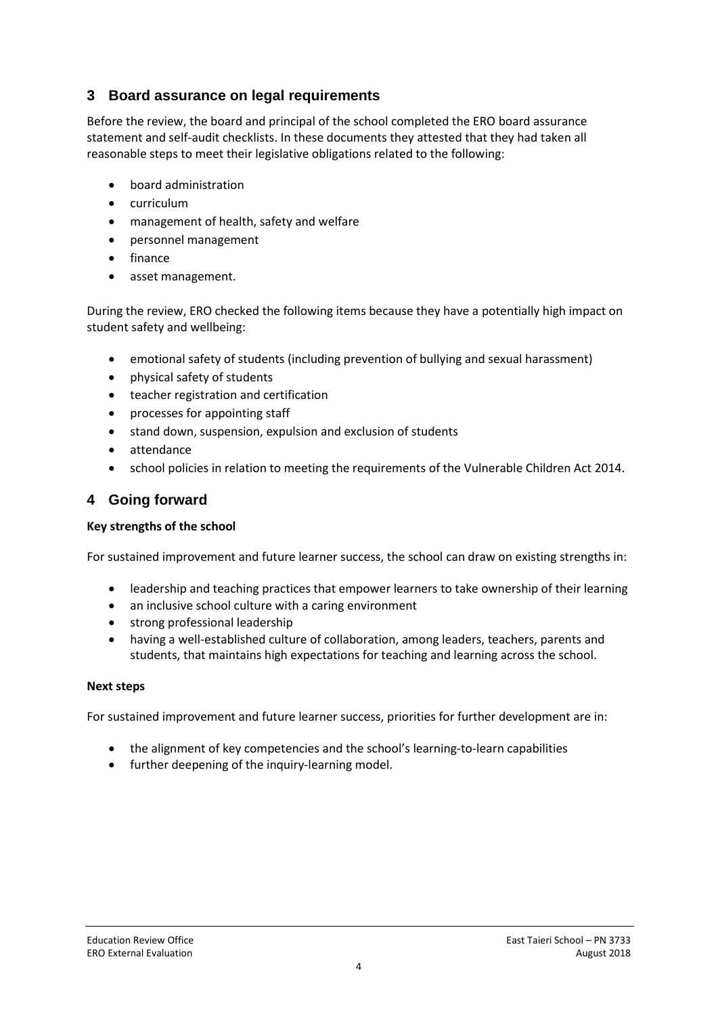## **3 Board assurance on legal requirements**

Before the review, the board and principal of the school completed the ERO board assurance statement and self-audit checklists. In these documents they attested that they had taken all reasonable steps to meet their legislative obligations related to the following:

- board administration
- curriculum
- management of health, safety and welfare
- personnel management
- finance
- asset management.

During the review, ERO checked the following items because they have a potentially high impact on student safety and wellbeing:

- emotional safety of students (including prevention of bullying and sexual harassment)
- physical safety of students
- teacher registration and certification
- processes for appointing staff
- stand down, suspension, expulsion and exclusion of students
- attendance
- school policies in relation to meeting the requirements of the Vulnerable Children Act 2014.

### **4 Going forward**

#### **Key strengths of the school**

For sustained improvement and future learner success, the school can draw on existing strengths in:

- leadership and teaching practices that empower learners to take ownership of their learning
- an inclusive school culture with a caring environment
- strong professional leadership
- having a well-established culture of collaboration, among leaders, teachers, parents and students, that maintains high expectations for teaching and learning across the school.

#### **Next steps**

For sustained improvement and future learner success, priorities for further development are in:

- the alignment of key competencies and the school's learning-to-learn capabilities
- further deepening of the inquiry-learning model.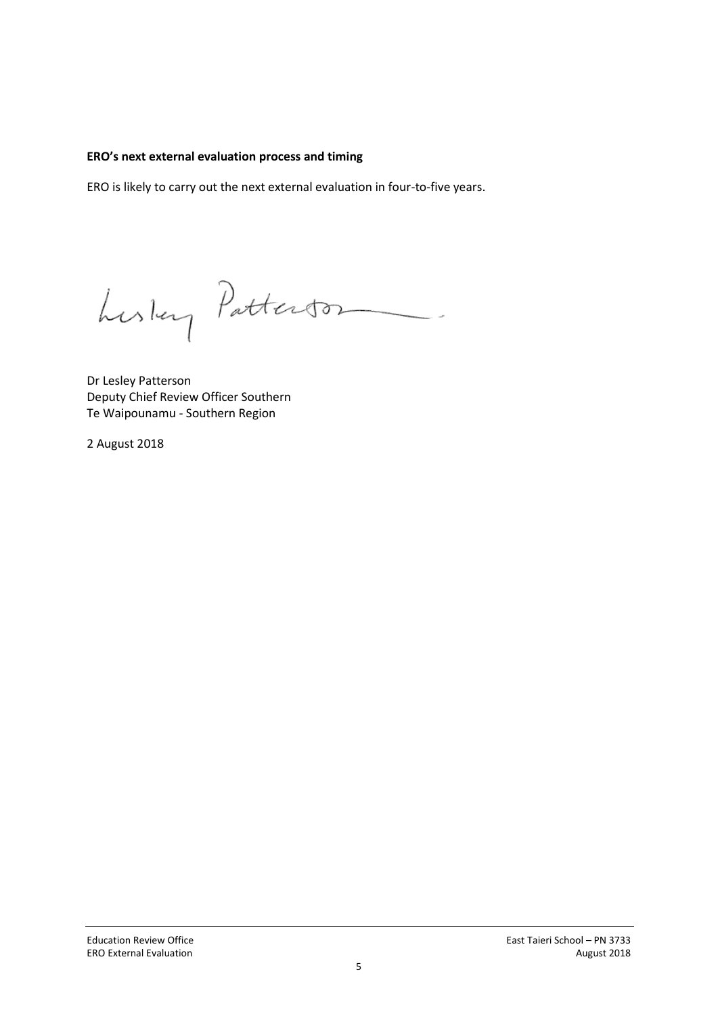#### **ERO's next external evaluation process and timing**

ERO is likely to carry out the next external evaluation in four-to-five years.

Luslay Patterson

Dr Lesley Patterson Deputy Chief Review Officer Southern Te Waipounamu - Southern Region

2 August 2018